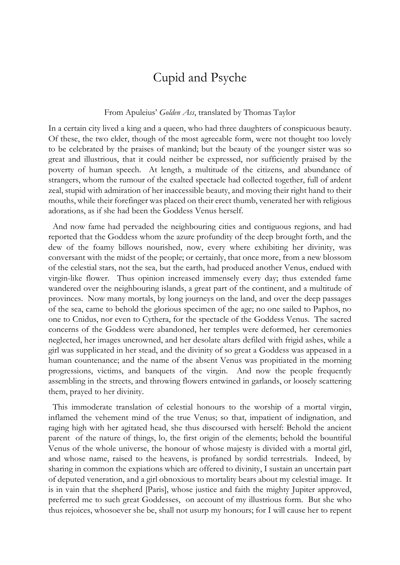## Cupid and Psyche

## From Apuleius' *Golden Ass*, translated by Thomas Taylor

In a certain city lived a king and a queen, who had three daughters of conspicuous beauty. Of these, the two elder, though of the most agreeable form, were not thought too lovely to be celebrated by the praises of mankind; but the beauty of the younger sister was so great and illustrious, that it could neither be expressed, nor sufficiently praised by the poverty of human speech. At length, a multitude of the citizens, and abundance of strangers, whom the rumour of the exalted spectacle had collected together, full of ardent zeal, stupid with admiration of her inaccessible beauty, and moving their right hand to their mouths, while their forefinger was placed on their erect thumb, venerated her with religious adorations, as if she had been the Goddess Venus herself.

 And now fame had pervaded the neighbouring cities and contiguous regions, and had reported that the Goddess whom the azure profundity of the deep brought forth, and the dew of the foamy billows nourished, now, every where exhibiting her divinity, was conversant with the midst of the people; or certainly, that once more, from a new blossom of the celestial stars, not the sea, but the earth, had produced another Venus, endued with virgin-like flower. Thus opinion increased immensely every day; thus extended fame wandered over the neighbouring islands, a great part of the continent, and a multitude of provinces. Now many mortals, by long journeys on the land, and over the deep passages of the sea, came to behold the glorious specimen of the age; no one sailed to Paphos, no one to Cnidus, nor even to Cythera, for the spectacle of the Goddess Venus. The sacred concerns of the Goddess were abandoned, her temples were deformed, her ceremonies neglected, her images uncrowned, and her desolate altars defiled with frigid ashes, while a girl was supplicated in her stead, and the divinity of so great a Goddess was appeased in a human countenance; and the name of the absent Venus was propitiated in the morning progressions, victims, and banquets of the virgin. And now the people frequently assembling in the streets, and throwing flowers entwined in garlands, or loosely scattering them, prayed to her divinity.

 This immoderate translation of celestial honours to the worship of a mortal virgin, inflamed the vehement mind of the true Venus; so that, impatient of indignation, and raging high with her agitated head, she thus discoursed with herself: Behold the ancient parent of the nature of things, lo, the first origin of the elements; behold the bountiful Venus of the whole universe, the honour of whose majesty is divided with a mortal girl, and whose name, raised to the heavens, is profaned by sordid terrestrials. Indeed, by sharing in common the expiations which are offered to divinity, I sustain an uncertain part of deputed veneration, and a girl obnoxious to mortality bears about my celestial image. It is in vain that the shepherd [Paris], whose justice and faith the mighty Jupiter approved, preferred me to such great Goddesses, on account of my illustrious form. But she who thus rejoices, whosoever she be, shall not usurp my honours; for I will cause her to repent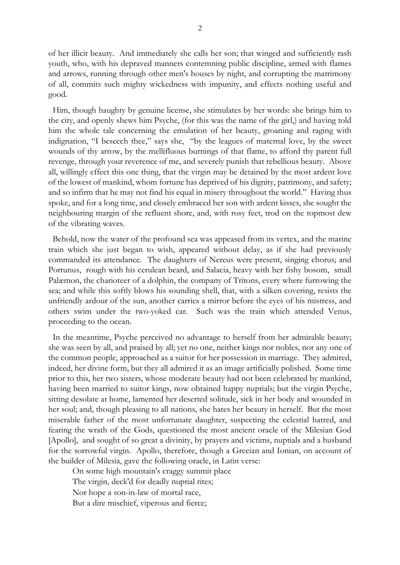of her illicit beauty. And immediately she calls her son; that winged and sufficiently rash youth, who, with his depraved manners contemning public discipline, armed with flames and arrows, running through other men's houses by night, and corrupting the matrimony of all, commits such mighty wickedness with impunity, and effects nothing useful and good.

 Him, though haughty by genuine license, she stimulates by her words: she brings him to the city, and openly shews him Psyche, (for this was the name of the girl,) and having told him the whole tale concerning the emulation of her beauty, groaning and raging with indignation, "I beseech thee," says she, "by the leagues of maternal love, by the sweet wounds of thy arrow, by the mellifluous burnings of that flame, to afford thy parent full revenge, through your reverence of me, and severely punish that rebellious beauty. Above all, willingly effect this one thing, that the virgin may be detained by the most ardent love of the lowest of mankind, whom fortune has deprived of his dignity, patrimony, and safety; and so infirm that he may not find his equal in misery throughout the world." Having thus spoke, and for a long time, and closely embraced her son with ardent kisses, she sought the neighbouring margin of the refluent shore, and, with rosy feet, trod on the topmost dew of the vibrating waves.

 Behold, now the water of the profound sea was appeased from its vertex, and the marine train which she just began to wish, appeared without delay, as if she had previously commanded its attendance. The daughters of Nereus were present, singing chorus; and Portunus, rough with his cerulean beard, and Salacia, heavy with her fishy bosom, small Palæmon, the charioteer of a dolphin, the company of Tritons, every where furrowing the sea; and while this softly blows his sounding shell, that, with a silken covering, resists the unfriendly ardour of the sun, another carries a mirror before the eyes of his mistress, and others swim under the two-yoked car. Such was the train which attended Venus, proceeding to the ocean.

 In the meantime, Psyche perceived no advantage to herself from her admirable beauty; she was seen by all, and praised by all; yet no one, neither kings nor nobles, nor any one of the common people, approached as a suitor for her possession in marriage. They admired, indeed, her divine form, but they all admired it as an image artificially polished. Some time prior to this, her two sisters, whose moderate beauty had not been celebrated by mankind, having been married to suitor kings, now obtained happy nuptials; but the virgin Psyche, sitting desolate at home, lamented her deserted solitude, sick in her body and wounded in her soul; and, though pleasing to all nations, she hates her beauty in herself. But the most miserable father of the most unfortunate daughter, suspecting the celestial hatred, and fearing the wrath of the Gods, questioned the most ancient oracle of the Milesian God [Apollo], and sought of so great a divinity, by prayers and victims, nuptials and a husband for the sorrowful virgin. Apollo, therefore, though a Grecian and Ionian, on account of the builder of Milesia, gave the following oracle, in Latin verse:

On some high mountain's craggy summit place The virgin, deck'd for deadly nuptial rites; Nor hope a son-in-law of mortal race, But a dire mischief, viperous and fierce;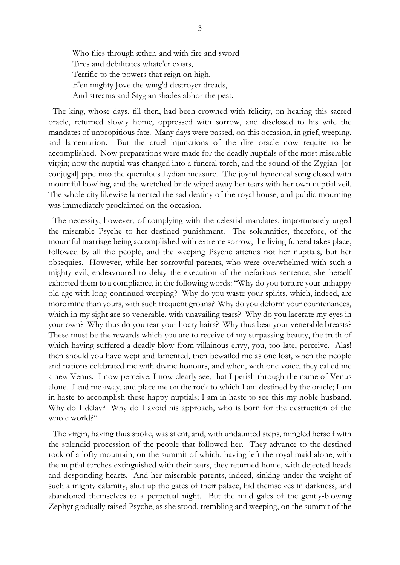Who flies through æther, and with fire and sword Tires and debilitates whate'er exists, Terrific to the powers that reign on high. E'en mighty Jove the wing'd destroyer dreads, And streams and Stygian shades abhor the pest.

 The king, whose days, till then, had been crowned with felicity, on hearing this sacred oracle, returned slowly home, oppressed with sorrow, and disclosed to his wife the mandates of unpropitious fate. Many days were passed, on this occasion, in grief, weeping, and lamentation. But the cruel injunctions of the dire oracle now require to be accomplished. Now preparations were made for the deadly nuptials of the most miserable virgin; now the nuptial was changed into a funeral torch, and the sound of the Zygian [or conjugal] pipe into the querulous Lydian measure. The joyful hymeneal song closed with mournful howling, and the wretched bride wiped away her tears with her own nuptial veil. The whole city likewise lamented the sad destiny of the royal house, and public mourning was immediately proclaimed on the occasion.

 The necessity, however, of complying with the celestial mandates, importunately urged the miserable Psyche to her destined punishment. The solemnities, therefore, of the mournful marriage being accomplished with extreme sorrow, the living funeral takes place, followed by all the people, and the weeping Psyche attends not her nuptials, but her obsequies. However, while her sorrowful parents, who were overwhelmed with such a mighty evil, endeavoured to delay the execution of the nefarious sentence, she herself exhorted them to a compliance, in the following words: "Why do you torture your unhappy old age with long-continued weeping? Why do you waste your spirits, which, indeed, are more mine than yours, with such frequent groans? Why do you deform your countenances, which in my sight are so venerable, with unavailing tears? Why do you lacerate my eyes in your own? Why thus do you tear your hoary hairs? Why thus beat your venerable breasts? These must be the rewards which you are to receive of my surpassing beauty, the truth of which having suffered a deadly blow from villainous envy, you, too late, perceive. Alas! then should you have wept and lamented, then bewailed me as one lost, when the people and nations celebrated me with divine honours, and when, with one voice, they called me a new Venus. I now perceive, I now clearly see, that I perish through the name of Venus alone. Lead me away, and place me on the rock to which I am destined by the oracle; I am in haste to accomplish these happy nuptials; I am in haste to see this my noble husband. Why do I delay? Why do I avoid his approach, who is born for the destruction of the whole world?"

 The virgin, having thus spoke, was silent, and, with undaunted steps, mingled herself with the splendid procession of the people that followed her. They advance to the destined rock of a lofty mountain, on the summit of which, having left the royal maid alone, with the nuptial torches extinguished with their tears, they returned home, with dejected heads and desponding hearts. And her miserable parents, indeed, sinking under the weight of such a mighty calamity, shut up the gates of their palace, hid themselves in darkness, and abandoned themselves to a perpetual night. But the mild gales of the gently-blowing Zephyr gradually raised Psyche, as she stood, trembling and weeping, on the summit of the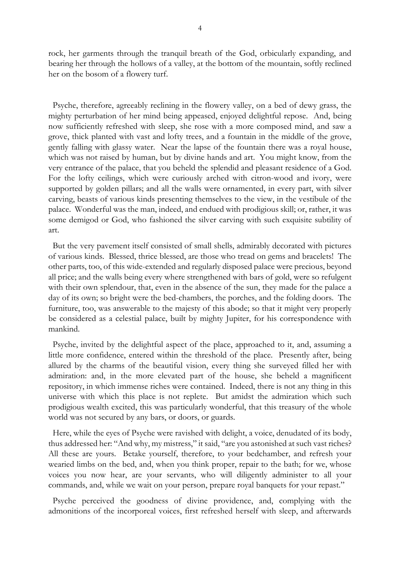rock, her garments through the tranquil breath of the God, orbicularly expanding, and bearing her through the hollows of a valley, at the bottom of the mountain, softly reclined her on the bosom of a flowery turf.

 Psyche, therefore, agreeably reclining in the flowery valley, on a bed of dewy grass, the mighty perturbation of her mind being appeased, enjoyed delightful repose. And, being now sufficiently refreshed with sleep, she rose with a more composed mind, and saw a grove, thick planted with vast and lofty trees, and a fountain in the middle of the grove, gently falling with glassy water. Near the lapse of the fountain there was a royal house, which was not raised by human, but by divine hands and art. You might know, from the very entrance of the palace, that you beheld the splendid and pleasant residence of a God. For the lofty ceilings, which were curiously arched with citron-wood and ivory, were supported by golden pillars; and all the walls were ornamented, in every part, with silver carving, beasts of various kinds presenting themselves to the view, in the vestibule of the palace. Wonderful was the man, indeed, and endued with prodigious skill; or, rather, it was some demigod or God, who fashioned the silver carving with such exquisite subtility of art.

 But the very pavement itself consisted of small shells, admirably decorated with pictures of various kinds. Blessed, thrice blessed, are those who tread on gems and bracelets! The other parts, too, of this wide-extended and regularly disposed palace were precious, beyond all price; and the walls being every where strengthened with bars of gold, were so refulgent with their own splendour, that, even in the absence of the sun, they made for the palace a day of its own; so bright were the bed-chambers, the porches, and the folding doors. The furniture, too, was answerable to the majesty of this abode; so that it might very properly be considered as a celestial palace, built by mighty Jupiter, for his correspondence with mankind.

 Psyche, invited by the delightful aspect of the place, approached to it, and, assuming a little more confidence, entered within the threshold of the place. Presently after, being allured by the charms of the beautiful vision, every thing she surveyed filled her with admiration: and, in the more elevated part of the house, she beheld a magnificent repository, in which immense riches were contained. Indeed, there is not any thing in this universe with which this place is not replete. But amidst the admiration which such prodigious wealth excited, this was particularly wonderful, that this treasury of the whole world was not secured by any bars, or doors, or guards.

 Here, while the eyes of Psyche were ravished with delight, a voice, denudated of its body, thus addressed her: "And why, my mistress," it said, "are you astonished at such vast riches? All these are yours. Betake yourself, therefore, to your bedchamber, and refresh your wearied limbs on the bed, and, when you think proper, repair to the bath; for we, whose voices you now hear, are your servants, who will diligently administer to all your commands, and, while we wait on your person, prepare royal banquets for your repast."

 Psyche perceived the goodness of divine providence, and, complying with the admonitions of the incorporeal voices, first refreshed herself with sleep, and afterwards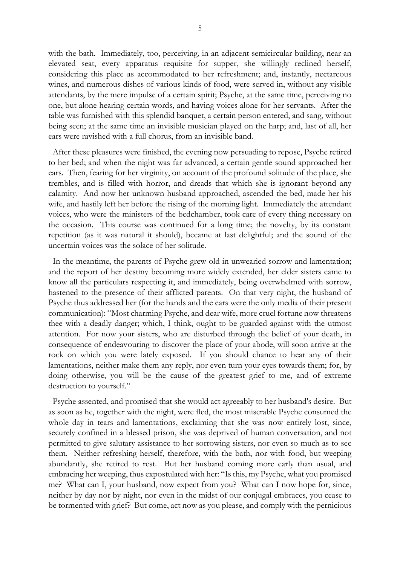with the bath. Immediately, too, perceiving, in an adjacent semicircular building, near an elevated seat, every apparatus requisite for supper, she willingly reclined herself, considering this place as accommodated to her refreshment; and, instantly, nectareous wines, and numerous dishes of various kinds of food, were served in, without any visible attendants, by the mere impulse of a certain spirit; Psyche, at the same time, perceiving no one, but alone hearing certain words, and having voices alone for her servants. After the table was furnished with this splendid banquet, a certain person entered, and sang, without being seen; at the same time an invisible musician played on the harp; and, last of all, her ears were ravished with a full chorus, from an invisible band.

 After these pleasures were finished, the evening now persuading to repose, Psyche retired to her bed; and when the night was far advanced, a certain gentle sound approached her ears. Then, fearing for her virginity, on account of the profound solitude of the place, she trembles, and is filled with horror, and dreads that which she is ignorant beyond any calamity. And now her unknown husband approached, ascended the bed, made her his wife, and hastily left her before the rising of the morning light. Immediately the attendant voices, who were the ministers of the bedchamber, took care of every thing necessary on the occasion. This course was continued for a long time; the novelty, by its constant repetition (as it was natural it should), became at last delightful; and the sound of the uncertain voices was the solace of her solitude.

 In the meantime, the parents of Psyche grew old in unwearied sorrow and lamentation; and the report of her destiny becoming more widely extended, her elder sisters came to know all the particulars respecting it, and immediately, being overwhelmed with sorrow, hastened to the presence of their afflicted parents. On that very night, the husband of Psyche thus addressed her (for the hands and the ears were the only media of their present communication): "Most charming Psyche, and dear wife, more cruel fortune now threatens thee with a deadly danger; which, I think, ought to be guarded against with the utmost attention. For now your sisters, who are disturbed through the belief of your death, in consequence of endeavouring to discover the place of your abode, will soon arrive at the rock on which you were lately exposed. If you should chance to hear any of their lamentations, neither make them any reply, nor even turn your eyes towards them; for, by doing otherwise, you will be the cause of the greatest grief to me, and of extreme destruction to yourself."

 Psyche assented, and promised that she would act agreeably to her husband's desire. But as soon as he, together with the night, were fled, the most miserable Psyche consumed the whole day in tears and lamentations, exclaiming that she was now entirely lost, since, securely confined in a blessed prison, she was deprived of human conversation, and not permitted to give salutary assistance to her sorrowing sisters, nor even so much as to see them. Neither refreshing herself, therefore, with the bath, nor with food, but weeping abundantly, she retired to rest. But her husband coming more early than usual, and embracing her weeping, thus expostulated with her: "Is this, my Psyche, what you promised me? What can I, your husband, now expect from you? What can I now hope for, since, neither by day nor by night, nor even in the midst of our conjugal embraces, you cease to be tormented with grief? But come, act now as you please, and comply with the pernicious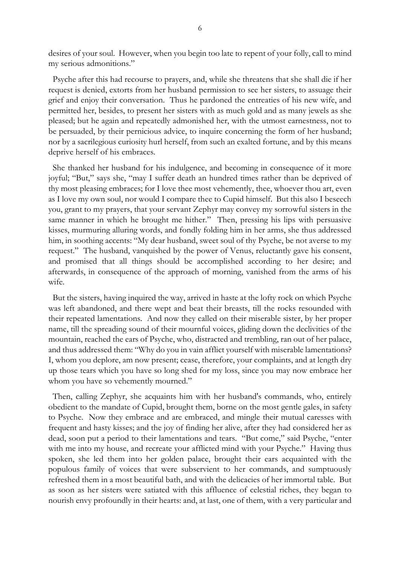desires of your soul. However, when you begin too late to repent of your folly, call to mind my serious admonitions."

 Psyche after this had recourse to prayers, and, while she threatens that she shall die if her request is denied, extorts from her husband permission to see her sisters, to assuage their grief and enjoy their conversation. Thus he pardoned the entreaties of his new wife, and permitted her, besides, to present her sisters with as much gold and as many jewels as she pleased; but he again and repeatedly admonished her, with the utmost earnestness, not to be persuaded, by their pernicious advice, to inquire concerning the form of her husband; nor by a sacrilegious curiosity hurl herself, from such an exalted fortune, and by this means deprive herself of his embraces.

 She thanked her husband for his indulgence, and becoming in consequence of it more joyful; "But," says she, "may I suffer death an hundred times rather than be deprived of thy most pleasing embraces; for I love thee most vehemently, thee, whoever thou art, even as I love my own soul, nor would I compare thee to Cupid himself. But this also I beseech you, grant to my prayers, that your servant Zephyr may convey my sorrowful sisters in the same manner in which he brought me hither." Then, pressing his lips with persuasive kisses, murmuring alluring words, and fondly folding him in her arms, she thus addressed him, in soothing accents: "My dear husband, sweet soul of thy Psyche, be not averse to my request." The husband, vanquished by the power of Venus, reluctantly gave his consent, and promised that all things should be accomplished according to her desire; and afterwards, in consequence of the approach of morning, vanished from the arms of his wife.

 But the sisters, having inquired the way, arrived in haste at the lofty rock on which Psyche was left abandoned, and there wept and beat their breasts, till the rocks resounded with their repeated lamentations. And now they called on their miserable sister, by her proper name, till the spreading sound of their mournful voices, gliding down the declivities of the mountain, reached the ears of Psyche, who, distracted and trembling, ran out of her palace, and thus addressed them: "Why do you in vain afflict yourself with miserable lamentations? I, whom you deplore, am now present; cease, therefore, your complaints, and at length dry up those tears which you have so long shed for my loss, since you may now embrace her whom you have so vehemently mourned."

 Then, calling Zephyr, she acquaints him with her husband's commands, who, entirely obedient to the mandate of Cupid, brought them, borne on the most gentle gales, in safety to Psyche. Now they embrace and are embraced, and mingle their mutual caresses with frequent and hasty kisses; and the joy of finding her alive, after they had considered her as dead, soon put a period to their lamentations and tears. "But come," said Psyche, "enter with me into my house, and recreate your afflicted mind with your Psyche." Having thus spoken, she led them into her golden palace, brought their ears acquainted with the populous family of voices that were subservient to her commands, and sumptuously refreshed them in a most beautiful bath, and with the delicacies of her immortal table. But as soon as her sisters were satiated with this affluence of celestial riches, they began to nourish envy profoundly in their hearts: and, at last, one of them, with a very particular and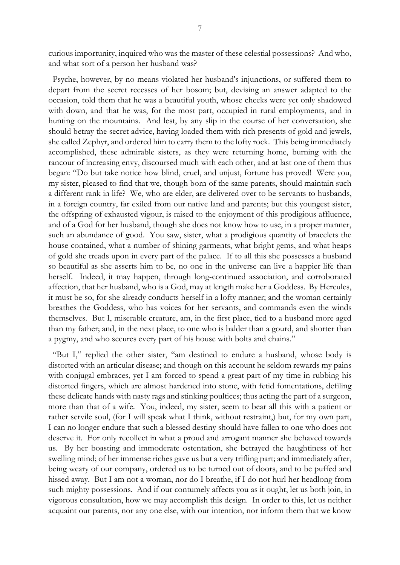curious importunity, inquired who was the master of these celestial possessions? And who, and what sort of a person her husband was?

 Psyche, however, by no means violated her husband's injunctions, or suffered them to depart from the secret recesses of her bosom; but, devising an answer adapted to the occasion, told them that he was a beautiful youth, whose cheeks were yet only shadowed with down, and that he was, for the most part, occupied in rural employments, and in hunting on the mountains. And lest, by any slip in the course of her conversation, she should betray the secret advice, having loaded them with rich presents of gold and jewels, she called Zephyr, and ordered him to carry them to the lofty rock. This being immediately accomplished, these admirable sisters, as they were returning home, burning with the rancour of increasing envy, discoursed much with each other, and at last one of them thus began: "Do but take notice how blind, cruel, and unjust, fortune has proved! Were you, my sister, pleased to find that we, though born of the same parents, should maintain such a different rank in life? We, who are elder, are delivered over to be servants to husbands, in a foreign country, far exiled from our native land and parents; but this youngest sister, the offspring of exhausted vigour, is raised to the enjoyment of this prodigious affluence, and of a God for her husband, though she does not know how to use, in a proper manner, such an abundance of good. You saw, sister, what a prodigious quantity of bracelets the house contained, what a number of shining garments, what bright gems, and what heaps of gold she treads upon in every part of the palace. If to all this she possesses a husband so beautiful as she asserts him to be, no one in the universe can live a happier life than herself. Indeed, it may happen, through long-continued association, and corroborated affection, that her husband, who is a God, may at length make her a Goddess. By Hercules, it must be so, for she already conducts herself in a lofty manner; and the woman certainly breathes the Goddess, who has voices for her servants, and commands even the winds themselves. But I, miserable creature, am, in the first place, tied to a husband more aged than my father; and, in the next place, to one who is balder than a gourd, and shorter than a pygmy, and who secures every part of his house with bolts and chains."

 "But I," replied the other sister, "am destined to endure a husband, whose body is distorted with an articular disease; and though on this account he seldom rewards my pains with conjugal embraces, yet I am forced to spend a great part of my time in rubbing his distorted fingers, which are almost hardened into stone, with fetid fomentations, defiling these delicate hands with nasty rags and stinking poultices; thus acting the part of a surgeon, more than that of a wife. You, indeed, my sister, seem to bear all this with a patient or rather servile soul, (for I will speak what I think, without restraint,) but, for my own part, I can no longer endure that such a blessed destiny should have fallen to one who does not deserve it. For only recollect in what a proud and arrogant manner she behaved towards us. By her boasting and immoderate ostentation, she betrayed the haughtiness of her swelling mind; of her immense riches gave us but a very trifling part; and immediately after, being weary of our company, ordered us to be turned out of doors, and to be puffed and hissed away. But I am not a woman, nor do I breathe, if I do not hurl her headlong from such mighty possessions. And if our contumely affects you as it ought, let us both join, in vigorous consultation, how we may accomplish this design. In order to this, let us neither acquaint our parents, nor any one else, with our intention, nor inform them that we know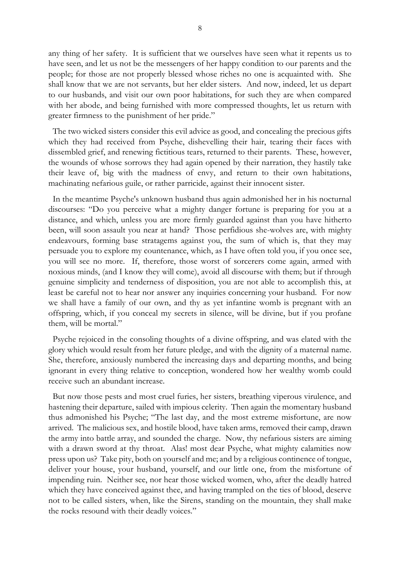any thing of her safety. It is sufficient that we ourselves have seen what it repents us to have seen, and let us not be the messengers of her happy condition to our parents and the people; for those are not properly blessed whose riches no one is acquainted with. She shall know that we are not servants, but her elder sisters. And now, indeed, let us depart to our husbands, and visit our own poor habitations, for such they are when compared with her abode, and being furnished with more compressed thoughts, let us return with greater firmness to the punishment of her pride."

 The two wicked sisters consider this evil advice as good, and concealing the precious gifts which they had received from Psyche, dishevelling their hair, tearing their faces with dissembled grief, and renewing fictitious tears, returned to their parents. These, however, the wounds of whose sorrows they had again opened by their narration, they hastily take their leave of, big with the madness of envy, and return to their own habitations, machinating nefarious guile, or rather parricide, against their innocent sister.

 In the meantime Psyche's unknown husband thus again admonished her in his nocturnal discourses: "Do you perceive what a mighty danger fortune is preparing for you at a distance, and which, unless you are more firmly guarded against than you have hitherto been, will soon assault you near at hand? Those perfidious she-wolves are, with mighty endeavours, forming base stratagems against you, the sum of which is, that they may persuade you to explore my countenance, which, as I have often told you, if you once see, you will see no more. If, therefore, those worst of sorcerers come again, armed with noxious minds, (and I know they will come), avoid all discourse with them; but if through genuine simplicity and tenderness of disposition, you are not able to accomplish this, at least be careful not to hear nor answer any inquiries concerning your husband. For now we shall have a family of our own, and thy as yet infantine womb is pregnant with an offspring, which, if you conceal my secrets in silence, will be divine, but if you profane them, will be mortal."

 Psyche rejoiced in the consoling thoughts of a divine offspring, and was elated with the glory which would result from her future pledge, and with the dignity of a maternal name. She, therefore, anxiously numbered the increasing days and departing months, and being ignorant in every thing relative to conception, wondered how her wealthy womb could receive such an abundant increase.

 But now those pests and most cruel furies, her sisters, breathing viperous virulence, and hastening their departure, sailed with impious celerity. Then again the momentary husband thus admonished his Psyche; "The last day, and the most extreme misfortune, are now arrived. The malicious sex, and hostile blood, have taken arms, removed their camp, drawn the army into battle array, and sounded the charge. Now, thy nefarious sisters are aiming with a drawn sword at thy throat. Alas! most dear Psyche, what mighty calamities now press upon us? Take pity, both on yourself and me; and by a religious continence of tongue, deliver your house, your husband, yourself, and our little one, from the misfortune of impending ruin. Neither see, nor hear those wicked women, who, after the deadly hatred which they have conceived against thee, and having trampled on the ties of blood, deserve not to be called sisters, when, like the Sirens, standing on the mountain, they shall make the rocks resound with their deadly voices."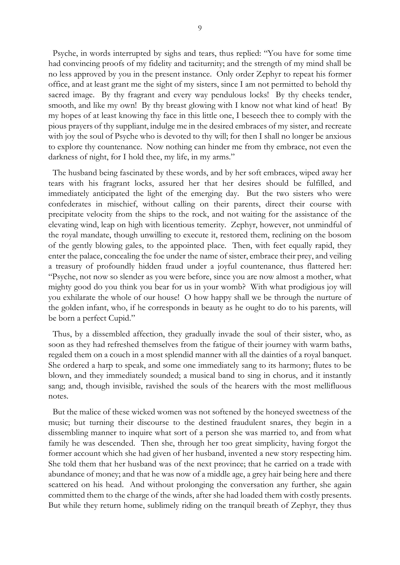Psyche, in words interrupted by sighs and tears, thus replied: "You have for some time had convincing proofs of my fidelity and taciturnity; and the strength of my mind shall be no less approved by you in the present instance. Only order Zephyr to repeat his former office, and at least grant me the sight of my sisters, since I am not permitted to behold thy sacred image. By thy fragrant and every way pendulous locks! By thy cheeks tender, smooth, and like my own! By thy breast glowing with I know not what kind of heat! By my hopes of at least knowing thy face in this little one, I beseech thee to comply with the pious prayers of thy suppliant, indulge me in the desired embraces of my sister, and recreate with joy the soul of Psyche who is devoted to thy will; for then I shall no longer be anxious to explore thy countenance. Now nothing can hinder me from thy embrace, not even the darkness of night, for I hold thee, my life, in my arms."

 The husband being fascinated by these words, and by her soft embraces, wiped away her tears with his fragrant locks, assured her that her desires should be fulfilled, and immediately anticipated the light of the emerging day. But the two sisters who were confederates in mischief, without calling on their parents, direct their course with precipitate velocity from the ships to the rock, and not waiting for the assistance of the elevating wind, leap on high with licentious temerity. Zephyr, however, not unmindful of the royal mandate, though unwilling to execute it, restored them, reclining on the bosom of the gently blowing gales, to the appointed place. Then, with feet equally rapid, they enter the palace, concealing the foe under the name of sister, embrace their prey, and veiling a treasury of profoundly hidden fraud under a joyful countenance, thus flattered her: "Psyche, not now so slender as you were before, since you are now almost a mother, what mighty good do you think you bear for us in your womb? With what prodigious joy will you exhilarate the whole of our house! O how happy shall we be through the nurture of the golden infant, who, if he corresponds in beauty as he ought to do to his parents, will be born a perfect Cupid."

 Thus, by a dissembled affection, they gradually invade the soul of their sister, who, as soon as they had refreshed themselves from the fatigue of their journey with warm baths, regaled them on a couch in a most splendid manner with all the dainties of a royal banquet. She ordered a harp to speak, and some one immediately sang to its harmony; flutes to be blown, and they immediately sounded; a musical band to sing in chorus, and it instantly sang; and, though invisible, ravished the souls of the hearers with the most mellifluous notes.

 But the malice of these wicked women was not softened by the honeyed sweetness of the music; but turning their discourse to the destined fraudulent snares, they begin in a dissembling manner to inquire what sort of a person she was married to, and from what family he was descended. Then she, through her too great simplicity, having forgot the former account which she had given of her husband, invented a new story respecting him. She told them that her husband was of the next province; that he carried on a trade with abundance of money; and that he was now of a middle age, a grey hair being here and there scattered on his head. And without prolonging the conversation any further, she again committed them to the charge of the winds, after she had loaded them with costly presents. But while they return home, sublimely riding on the tranquil breath of Zephyr, they thus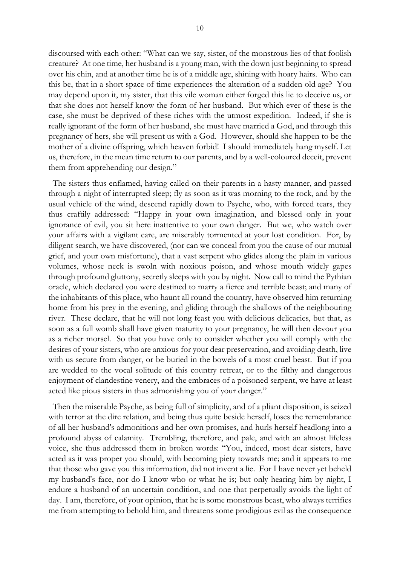10

discoursed with each other: "What can we say, sister, of the monstrous lies of that foolish creature? At one time, her husband is a young man, with the down just beginning to spread over his chin, and at another time he is of a middle age, shining with hoary hairs. Who can this be, that in a short space of time experiences the alteration of a sudden old age? You may depend upon it, my sister, that this vile woman either forged this lie to deceive us, or that she does not herself know the form of her husband. But which ever of these is the case, she must be deprived of these riches with the utmost expedition. Indeed, if she is really ignorant of the form of her husband, she must have married a God, and through this pregnancy of hers, she will present us with a God. However, should she happen to be the mother of a divine offspring, which heaven forbid! I should immediately hang myself. Let us, therefore, in the mean time return to our parents, and by a well-coloured deceit, prevent them from apprehending our design."

 The sisters thus enflamed, having called on their parents in a hasty manner, and passed through a night of interrupted sleep; fly as soon as it was morning to the rock, and by the usual vehicle of the wind, descend rapidly down to Psyche, who, with forced tears, they thus craftily addressed: "Happy in your own imagination, and blessed only in your ignorance of evil, you sit here inattentive to your own danger. But we, who watch over your affairs with a vigilant care, are miserably tormented at your lost condition. For, by diligent search, we have discovered, (nor can we conceal from you the cause of our mutual grief, and your own misfortune), that a vast serpent who glides along the plain in various volumes, whose neck is swoln with noxious poison, and whose mouth widely gapes through profound gluttony, secretly sleeps with you by night. Now call to mind the Pythian oracle, which declared you were destined to marry a fierce and terrible beast; and many of the inhabitants of this place, who haunt all round the country, have observed him returning home from his prey in the evening, and gliding through the shallows of the neighbouring river. These declare, that he will not long feast you with delicious delicacies, but that, as soon as a full womb shall have given maturity to your pregnancy, he will then devour you as a richer morsel. So that you have only to consider whether you will comply with the desires of your sisters, who are anxious for your dear preservation, and avoiding death, live with us secure from danger, or be buried in the bowels of a most cruel beast. But if you are wedded to the vocal solitude of this country retreat, or to the filthy and dangerous enjoyment of clandestine venery, and the embraces of a poisoned serpent, we have at least acted like pious sisters in thus admonishing you of your danger."

 Then the miserable Psyche, as being full of simplicity, and of a pliant disposition, is seized with terror at the dire relation, and being thus quite beside herself, loses the remembrance of all her husband's admonitions and her own promises, and hurls herself headlong into a profound abyss of calamity. Trembling, therefore, and pale, and with an almost lifeless voice, she thus addressed them in broken words: "You, indeed, most dear sisters, have acted as it was proper you should, with becoming piety towards me; and it appears to me that those who gave you this information, did not invent a lie. For I have never yet beheld my husband's face, nor do I know who or what he is; but only hearing him by night, I endure a husband of an uncertain condition, and one that perpetually avoids the light of day. I am, therefore, of your opinion, that he is some monstrous beast, who always terrifies me from attempting to behold him, and threatens some prodigious evil as the consequence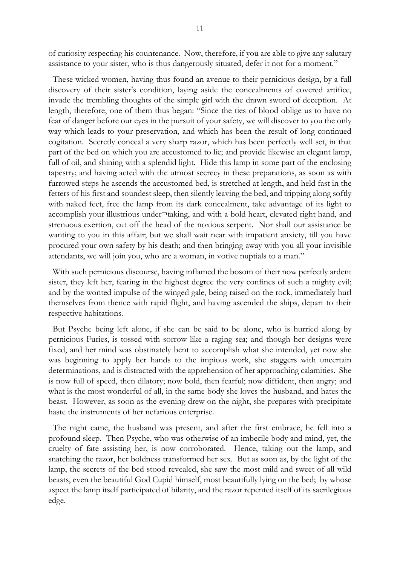of curiosity respecting his countenance. Now, therefore, if you are able to give any salutary assistance to your sister, who is thus dangerously situated, defer it not for a moment."

 These wicked women, having thus found an avenue to their pernicious design, by a full discovery of their sister's condition, laying aside the concealments of covered artifice, invade the trembling thoughts of the simple girl with the drawn sword of deception. At length, therefore, one of them thus began: "Since the ties of blood oblige us to have no fear of danger before our eyes in the pursuit of your safety, we will discover to you the only way which leads to your preservation, and which has been the result of long-continued cogitation. Secretly conceal a very sharp razor, which has been perfectly well set, in that part of the bed on which you are accustomed to lie; and provide likewise an elegant lamp, full of oil, and shining with a splendid light. Hide this lamp in some part of the enclosing tapestry; and having acted with the utmost secrecy in these preparations, as soon as with furrowed steps he ascends the accustomed bed, is stretched at length, and held fast in the fetters of his first and soundest sleep, then silently leaving the bed, and tripping along softly with naked feet, free the lamp from its dark concealment, take advantage of its light to accomplish your illustrious under¬taking, and with a bold heart, elevated right hand, and strenuous exertion, cut off the head of the noxious serpent. Nor shall our assistance be wanting to you in this affair; but we shall wait near with impatient anxiety, till you have procured your own safety by his death; and then bringing away with you all your invisible attendants, we will join you, who are a woman, in votive nuptials to a man."

 With such pernicious discourse, having inflamed the bosom of their now perfectly ardent sister, they left her, fearing in the highest degree the very confines of such a mighty evil; and by the wonted impulse of the winged gale, being raised on the rock, immediately hurl themselves from thence with rapid flight, and having ascended the ships, depart to their respective habitations.

 But Psyche being left alone, if she can be said to be alone, who is hurried along by pernicious Furies, is tossed with sorrow like a raging sea; and though her designs were fixed, and her mind was obstinately bent to accomplish what she intended, yet now she was beginning to apply her hands to the impious work, she staggers with uncertain determinations, and is distracted with the apprehension of her approaching calamities. She is now full of speed, then dilatory; now bold, then fearful; now diffident, then angry; and what is the most wonderful of all, in the same body she loves the husband, and hates the beast. However, as soon as the evening drew on the night, she prepares with precipitate haste the instruments of her nefarious enterprise.

 The night came, the husband was present, and after the first embrace, he fell into a profound sleep. Then Psyche, who was otherwise of an imbecile body and mind, yet, the cruelty of fate assisting her, is now corroborated. Hence, taking out the lamp, and snatching the razor, her boldness transformed her sex. But as soon as, by the light of the lamp, the secrets of the bed stood revealed, she saw the most mild and sweet of all wild beasts, even the beautiful God Cupid himself, most beautifully lying on the bed; by whose aspect the lamp itself participated of hilarity, and the razor repented itself of its sacrilegious edge.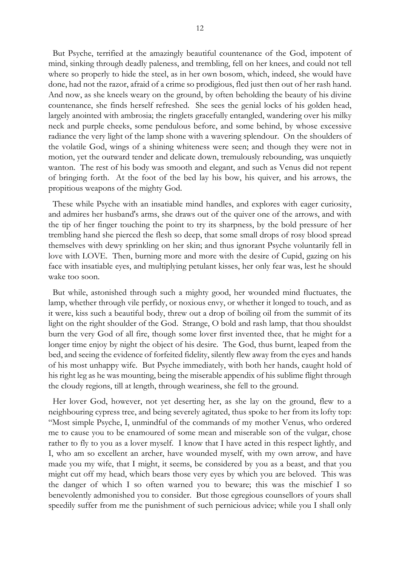But Psyche, terrified at the amazingly beautiful countenance of the God, impotent of mind, sinking through deadly paleness, and trembling, fell on her knees, and could not tell where so properly to hide the steel, as in her own bosom, which, indeed, she would have done, had not the razor, afraid of a crime so prodigious, fled just then out of her rash hand. And now, as she kneels weary on the ground, by often beholding the beauty of his divine countenance, she finds herself refreshed. She sees the genial locks of his golden head, largely anointed with ambrosia; the ringlets gracefully entangled, wandering over his milky neck and purple cheeks, some pendulous before, and some behind, by whose excessive radiance the very light of the lamp shone with a wavering splendour. On the shoulders of the volatile God, wings of a shining whiteness were seen; and though they were not in motion, yet the outward tender and delicate down, tremulously rebounding, was unquietly wanton. The rest of his body was smooth and elegant, and such as Venus did not repent of bringing forth. At the foot of the bed lay his bow, his quiver, and his arrows, the propitious weapons of the mighty God.

 These while Psyche with an insatiable mind handles, and explores with eager curiosity, and admires her husband's arms, she draws out of the quiver one of the arrows, and with the tip of her finger touching the point to try its sharpness, by the bold pressure of her trembling hand she pierced the flesh so deep, that some small drops of rosy blood spread themselves with dewy sprinkling on her skin; and thus ignorant Psyche voluntarily fell in love with LOVE. Then, burning more and more with the desire of Cupid, gazing on his face with insatiable eyes, and multiplying petulant kisses, her only fear was, lest he should wake too soon.

 But while, astonished through such a mighty good, her wounded mind fluctuates, the lamp, whether through vile perfidy, or noxious envy, or whether it longed to touch, and as it were, kiss such a beautiful body, threw out a drop of boiling oil from the summit of its light on the right shoulder of the God. Strange, O bold and rash lamp, that thou shouldst burn the very God of all fire, though some lover first invented thee, that he might for a longer time enjoy by night the object of his desire. The God, thus burnt, leaped from the bed, and seeing the evidence of forfeited fidelity, silently flew away from the eyes and hands of his most unhappy wife. But Psyche immediately, with both her hands, caught hold of his right leg as he was mounting, being the miserable appendix of his sublime flight through the cloudy regions, till at length, through weariness, she fell to the ground.

 Her lover God, however, not yet deserting her, as she lay on the ground, flew to a neighbouring cypress tree, and being severely agitated, thus spoke to her from its lofty top: "Most simple Psyche, I, unmindful of the commands of my mother Venus, who ordered me to cause you to be enamoured of some mean and miserable son of the vulgar, chose rather to fly to you as a lover myself. I know that I have acted in this respect lightly, and I, who am so excellent an archer, have wounded myself, with my own arrow, and have made you my wife, that I might, it seems, be considered by you as a beast, and that you might cut off my head, which bears those very eyes by which you are beloved. This was the danger of which I so often warned you to beware; this was the mischief I so benevolently admonished you to consider. But those egregious counsellors of yours shall speedily suffer from me the punishment of such pernicious advice; while you I shall only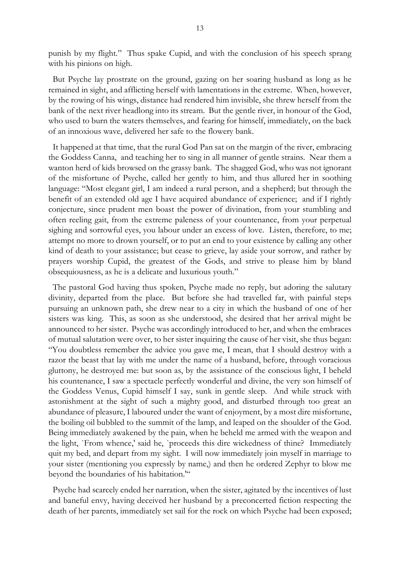punish by my flight." Thus spake Cupid, and with the conclusion of his speech sprang with his pinions on high.

 But Psyche lay prostrate on the ground, gazing on her soaring husband as long as he remained in sight, and afflicting herself with lamentations in the extreme. When, however, by the rowing of his wings, distance had rendered him invisible, she threw herself from the bank of the next river headlong into its stream. But the gentle river, in honour of the God, who used to burn the waters themselves, and fearing for himself, immediately, on the back of an innoxious wave, delivered her safe to the flowery bank.

 It happened at that time, that the rural God Pan sat on the margin of the river, embracing the Goddess Canna, and teaching her to sing in all manner of gentle strains. Near them a wanton herd of kids browsed on the grassy bank. The shagged God, who was not ignorant of the misfortune of Psyche, called her gently to him, and thus allured her in soothing language: "Most elegant girl, I am indeed a rural person, and a shepherd; but through the benefit of an extended old age I have acquired abundance of experience; and if I rightly conjecture, since prudent men boast the power of divination, from your stumbling and often reeling gait, from the extreme paleness of your countenance, from your perpetual sighing and sorrowful eyes, you labour under an excess of love. Listen, therefore, to me; attempt no more to drown yourself, or to put an end to your existence by calling any other kind of death to your assistance; but cease to grieve, lay aside your sorrow, and rather by prayers worship Cupid, the greatest of the Gods, and strive to please him by bland obsequiousness, as he is a delicate and luxurious youth."

 The pastoral God having thus spoken, Psyche made no reply, but adoring the salutary divinity, departed from the place. But before she had travelled far, with painful steps pursuing an unknown path, she drew near to a city in which the husband of one of her sisters was king. This, as soon as she understood, she desired that her arrival might be announced to her sister. Psyche was accordingly introduced to her, and when the embraces of mutual salutation were over, to her sister inquiring the cause of her visit, she thus began: "You doubtless remember the advice you gave me, I mean, that I should destroy with a razor the beast that lay with me under the name of a husband, before, through voracious gluttony, he destroyed me: but soon as, by the assistance of the conscious light, I beheld his countenance, I saw a spectacle perfectly wonderful and divine, the very son himself of the Goddess Venus, Cupid himself I say, sunk in gentle sleep. And while struck with astonishment at the sight of such a mighty good, and disturbed through too great an abundance of pleasure, I laboured under the want of enjoyment, by a most dire misfortune, the boiling oil bubbled to the summit of the lamp, and leaped on the shoulder of the God. Being immediately awakened by the pain, when he beheld me armed with the weapon and the light, `From whence,' said he, `proceeds this dire wickedness of thine? Immediately quit my bed, and depart from my sight. I will now immediately join myself in marriage to your sister (mentioning you expressly by name,) and then he ordered Zephyr to blow me beyond the boundaries of his habitation.""

 Psyche had scarcely ended her narration, when the sister, agitated by the incentives of lust and baneful envy, having deceived her husband by a preconcerted fiction respecting the death of her parents, immediately set sail for the rock on which Psyche had been exposed;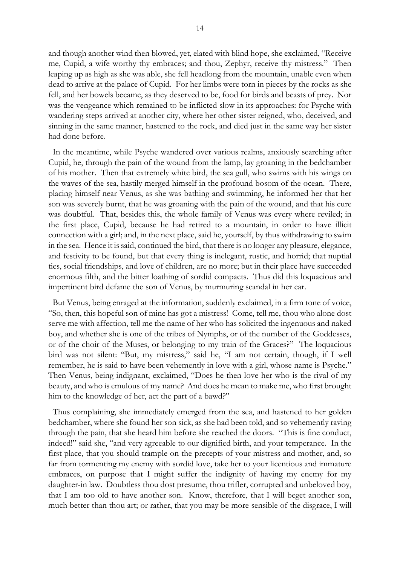and though another wind then blowed, yet, elated with blind hope, she exclaimed, "Receive me, Cupid, a wife worthy thy embraces; and thou, Zephyr, receive thy mistress." Then leaping up as high as she was able, she fell headlong from the mountain, unable even when dead to arrive at the palace of Cupid. For her limbs were torn in pieces by the rocks as she fell, and her bowels became, as they deserved to be, food for birds and beasts of prey. Nor was the vengeance which remained to be inflicted slow in its approaches: for Psyche with wandering steps arrived at another city, where her other sister reigned, who, deceived, and sinning in the same manner, hastened to the rock, and died just in the same way her sister had done before.

 In the meantime, while Psyche wandered over various realms, anxiously searching after Cupid, he, through the pain of the wound from the lamp, lay groaning in the bedchamber of his mother. Then that extremely white bird, the sea gull, who swims with his wings on the waves of the sea, hastily merged himself in the profound bosom of the ocean. There, placing himself near Venus, as she was bathing and swimming, he informed her that her son was severely burnt, that he was groaning with the pain of the wound, and that his cure was doubtful. That, besides this, the whole family of Venus was every where reviled; in the first place, Cupid, because he had retired to a mountain, in order to have illicit connection with a girl; and, in the next place, said he, yourself, by thus withdrawing to swim in the sea. Hence it is said, continued the bird, that there is no longer any pleasure, elegance, and festivity to be found, but that every thing is inelegant, rustic, and horrid; that nuptial ties, social friendships, and love of children, are no more; but in their place have succeeded enormous filth, and the bitter loathing of sordid compacts. Thus did this loquacious and impertinent bird defame the son of Venus, by murmuring scandal in her ear.

 But Venus, being enraged at the information, suddenly exclaimed, in a firm tone of voice, "So, then, this hopeful son of mine has got a mistress! Come, tell me, thou who alone dost serve me with affection, tell me the name of her who has solicited the ingenuous and naked boy, and whether she is one of the tribes of Nymphs, or of the number of the Goddesses, or of the choir of the Muses, or belonging to my train of the Graces?" The loquacious bird was not silent: "But, my mistress," said he, "I am not certain, though, if I well remember, he is said to have been vehemently in love with a girl, whose name is Psyche." Then Venus, being indignant, exclaimed, "Does he then love her who is the rival of my beauty, and who is emulous of my name? And does he mean to make me, who first brought him to the knowledge of her, act the part of a bawd?"

 Thus complaining, she immediately emerged from the sea, and hastened to her golden bedchamber, where she found her son sick, as she had been told, and so vehemently raving through the pain, that she heard him before she reached the doors. "This is fine conduct, indeed!" said she, "and very agreeable to our dignified birth, and your temperance. In the first place, that you should trample on the precepts of your mistress and mother, and, so far from tormenting my enemy with sordid love, take her to your licentious and immature embraces, on purpose that I might suffer the indignity of having my enemy for my daughter-in law. Doubtless thou dost presume, thou trifler, corrupted and unbeloved boy, that I am too old to have another son. Know, therefore, that I will beget another son, much better than thou art; or rather, that you may be more sensible of the disgrace, I will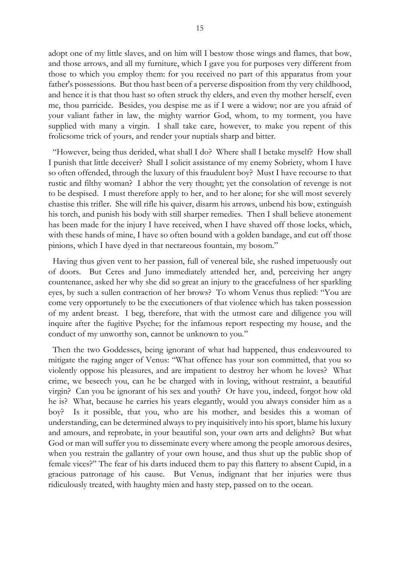adopt one of my little slaves, and on him will I bestow those wings and flames, that bow, and those arrows, and all my furniture, which I gave you for purposes very different from those to which you employ them: for you received no part of this apparatus from your father's possessions. But thou hast been of a perverse disposition from thy very childhood, and hence it is that thou hast so often struck thy elders, and even thy mother herself, even me, thou parricide. Besides, you despise me as if I were a widow; nor are you afraid of your valiant father in law, the mighty warrior God, whom, to my torment, you have supplied with many a virgin. I shall take care, however, to make you repent of this frolicsome trick of yours, and render your nuptials sharp and bitter.

 "However, being thus derided, what shall I do? Where shall I betake myself? How shall I punish that little deceiver? Shall I solicit assistance of my enemy Sobriety, whom I have so often offended, through the luxury of this fraudulent boy? Must I have recourse to that rustic and filthy woman? I abhor the very thought; yet the consolation of revenge is not to be despised. I must therefore apply to her, and to her alone; for she will most severely chastise this trifler. She will rifle his quiver, disarm his arrows, unbend his bow, extinguish his torch, and punish his body with still sharper remedies. Then I shall believe atonement has been made for the injury I have received, when I have shaved off those locks, which, with these hands of mine, I have so often bound with a golden bandage, and cut off those pinions, which I have dyed in that nectareous fountain, my bosom."

 Having thus given vent to her passion, full of venereal bile, she rushed impetuously out of doors. But Ceres and Juno immediately attended her, and, perceiving her angry countenance, asked her why she did so great an injury to the gracefulness of her sparkling eyes, by such a sullen contraction of her brows? To whom Venus thus replied: "You are come very opportunely to be the executioners of that violence which has taken possession of my ardent breast. I beg, therefore, that with the utmost care and diligence you will inquire after the fugitive Psyche; for the infamous report respecting my house, and the conduct of my unworthy son, cannot be unknown to you."

 Then the two Goddesses, being ignorant of what had happened, thus endeavoured to mitigate the raging anger of Venus: "What offence has your son committed, that you so violently oppose his pleasures, and are impatient to destroy her whom he loves? What crime, we beseech you, can he be charged with in loving, without restraint, a beautiful virgin? Can you be ignorant of his sex and youth? Or have you, indeed, forgot how old he is? What, because he carries his years elegantly, would you always consider him as a boy? Is it possible, that you, who are his mother, and besides this a woman of understanding, can be determined always to pry inquisitively into his sport, blame his luxury and amours, and reprobate, in your beautiful son, your own arts and delights? But what God or man will suffer you to disseminate every where among the people amorous desires, when you restrain the gallantry of your own house, and thus shut up the public shop of female vices?" The fear of his darts induced them to pay this flattery to absent Cupid, in a gracious patronage of his cause. But Venus, indignant that her injuries were thus ridiculously treated, with haughty mien and hasty step, passed on to the ocean.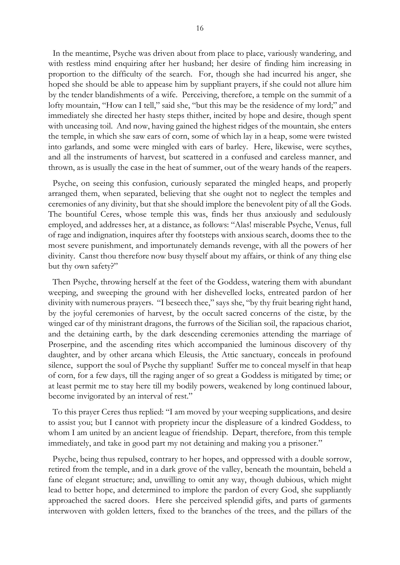In the meantime, Psyche was driven about from place to place, variously wandering, and with restless mind enquiring after her husband; her desire of finding him increasing in proportion to the difficulty of the search. For, though she had incurred his anger, she hoped she should be able to appease him by suppliant prayers, if she could not allure him by the tender blandishments of a wife. Perceiving, therefore, a temple on the summit of a lofty mountain, "How can I tell," said she, "but this may be the residence of my lord;" and immediately she directed her hasty steps thither, incited by hope and desire, though spent with unceasing toil. And now, having gained the highest ridges of the mountain, she enters the temple, in which she saw ears of corn, some of which lay in a heap, some were twisted into garlands, and some were mingled with ears of barley. Here, likewise, were scythes, and all the instruments of harvest, but scattered in a confused and careless manner, and thrown, as is usually the case in the heat of summer, out of the weary hands of the reapers.

Psyche, on seeing this confusion, curiously separated the mingled heaps, and properly arranged them, when separated, believing that she ought not to neglect the temples and ceremonies of any divinity, but that she should implore the benevolent pity of all the Gods. The bountiful Ceres, whose temple this was, finds her thus anxiously and sedulously employed, and addresses her, at a distance, as follows: "Alas! miserable Psyche, Venus, full of rage and indignation, inquires after thy footsteps with anxious search, dooms thee to the most severe punishment, and importunately demands revenge, with all the powers of her divinity. Canst thou therefore now busy thyself about my affairs, or think of any thing else but thy own safety?"

 Then Psyche, throwing herself at the feet of the Goddess, watering them with abundant weeping, and sweeping the ground with her dishevelled locks, entreated pardon of her divinity with numerous prayers. "I beseech thee," says she, "by thy fruit bearing right hand, by the joyful ceremonies of harvest, by the occult sacred concerns of the cistæ, by the winged car of thy ministrant dragons, the furrows of the Sicilian soil, the rapacious chariot, and the detaining earth, by the dark descending ceremonies attending the marriage of Proserpine, and the ascending rites which accompanied the luminous discovery of thy daughter, and by other arcana which Eleusis, the Attic sanctuary, conceals in profound silence, support the soul of Psyche thy suppliant! Suffer me to conceal myself in that heap of corn, for a few days, till the raging anger of so great a Goddess is mitigated by time; or at least permit me to stay here till my bodily powers, weakened by long continued labour, become invigorated by an interval of rest."

 To this prayer Ceres thus replied: "I am moved by your weeping supplications, and desire to assist you; but I cannot with propriety incur the displeasure of a kindred Goddess, to whom I am united by an ancient league of friendship. Depart, therefore, from this temple immediately, and take in good part my not detaining and making you a prisoner."

 Psyche, being thus repulsed, contrary to her hopes, and oppressed with a double sorrow, retired from the temple, and in a dark grove of the valley, beneath the mountain, beheld a fane of elegant structure; and, unwilling to omit any way, though dubious, which might lead to better hope, and determined to implore the pardon of every God, she suppliantly approached the sacred doors. Here she perceived splendid gifts, and parts of garments interwoven with golden letters, fixed to the branches of the trees, and the pillars of the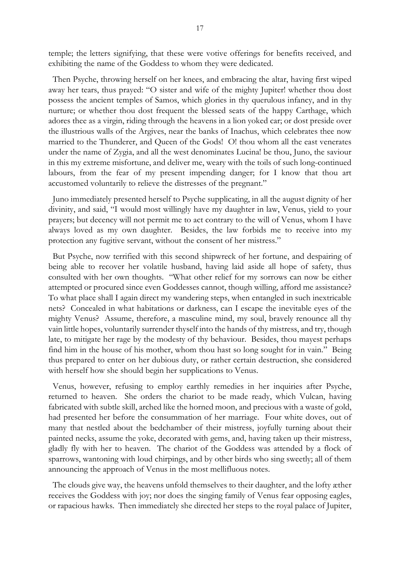temple; the letters signifying, that these were votive offerings for benefits received, and exhibiting the name of the Goddess to whom they were dedicated.

 Then Psyche, throwing herself on her knees, and embracing the altar, having first wiped away her tears, thus prayed: "O sister and wife of the mighty Jupiter! whether thou dost possess the ancient temples of Samos, which glories in thy querulous infancy, and in thy nurture; or whether thou dost frequent the blessed seats of the happy Carthage, which adores thee as a virgin, riding through the heavens in a lion yoked car; or dost preside over the illustrious walls of the Argives, near the banks of Inachus, which celebrates thee now married to the Thunderer, and Queen of the Gods! O! thou whom all the east venerates under the name of Zygia, and all the west denominates Lucina! be thou, Juno, the saviour in this my extreme misfortune, and deliver me, weary with the toils of such long-continued labours, from the fear of my present impending danger; for I know that thou art accustomed voluntarily to relieve the distresses of the pregnant."

 Juno immediately presented herself to Psyche supplicating, in all the august dignity of her divinity, and said, "I would most willingly have my daughter in law, Venus, yield to your prayers; but decency will not permit me to act contrary to the will of Venus, whom I have always loved as my own daughter. Besides, the law forbids me to receive into my protection any fugitive servant, without the consent of her mistress."

 But Psyche, now terrified with this second shipwreck of her fortune, and despairing of being able to recover her volatile husband, having laid aside all hope of safety, thus consulted with her own thoughts. "What other relief for my sorrows can now be either attempted or procured since even Goddesses cannot, though willing, afford me assistance? To what place shall I again direct my wandering steps, when entangled in such inextricable nets? Concealed in what habitations or darkness, can I escape the inevitable eyes of the mighty Venus? Assume, therefore, a masculine mind, my soul, bravely renounce all thy vain little hopes, voluntarily surrender thyself into the hands of thy mistress, and try, though late, to mitigate her rage by the modesty of thy behaviour. Besides, thou mayest perhaps find him in the house of his mother, whom thou hast so long sought for in vain." Being thus prepared to enter on her dubious duty, or rather certain destruction, she considered with herself how she should begin her supplications to Venus.

 Venus, however, refusing to employ earthly remedies in her inquiries after Psyche, returned to heaven. She orders the chariot to be made ready, which Vulcan, having fabricated with subtle skill, arched like the horned moon, and precious with a waste of gold, had presented her before the consummation of her marriage. Four white doves, out of many that nestled about the bedchamber of their mistress, joyfully turning about their painted necks, assume the yoke, decorated with gems, and, having taken up their mistress, gladly fly with her to heaven. The chariot of the Goddess was attended by a flock of sparrows, wantoning with loud chirpings, and by other birds who sing sweetly; all of them announcing the approach of Venus in the most mellifluous notes.

 The clouds give way, the heavens unfold themselves to their daughter, and the lofty æther receives the Goddess with joy; nor does the singing family of Venus fear opposing eagles, or rapacious hawks. Then immediately she directed her steps to the royal palace of Jupiter,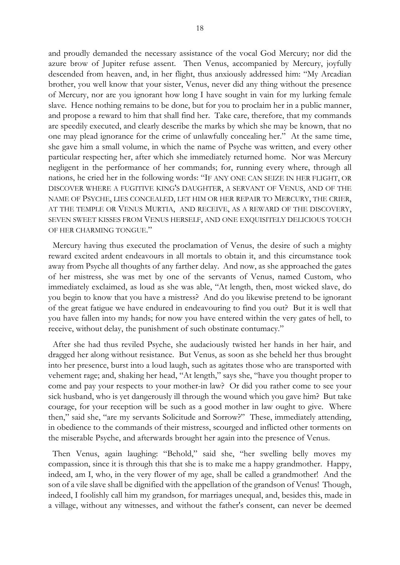and proudly demanded the necessary assistance of the vocal God Mercury; nor did the azure brow of Jupiter refuse assent. Then Venus, accompanied by Mercury, joyfully descended from heaven, and, in her flight, thus anxiously addressed him: "My Arcadian brother, you well know that your sister, Venus, never did any thing without the presence of Mercury, nor are you ignorant how long I have sought in vain for my lurking female slave. Hence nothing remains to be done, but for you to proclaim her in a public manner, and propose a reward to him that shall find her. Take care, therefore, that my commands are speedily executed, and clearly describe the marks by which she may be known, that no one may plead ignorance for the crime of unlawfully concealing her." At the same time, she gave him a small volume, in which the name of Psyche was written, and every other particular respecting her, after which she immediately returned home. Nor was Mercury negligent in the performance of her commands; for, running every where, through all nations, he cried her in the following words: "IF ANY ONE CAN SEIZE IN HER FLIGHT, OR DISCOVER WHERE A FUGITIVE KING'S DAUGHTER, A SERVANT OF VENUS, AND OF THE NAME OF PSYCHE, LIES CONCEALED, LET HIM OR HER REPAIR TO MERCURY, THE CRIER, AT THE TEMPLE OR VENUS MURTIA, AND RECEIVE, AS A REWARD OF THE DISCOVERY, SEVEN SWEET KISSES FROM VENUS HERSELF, AND ONE EXQUISITELY DELICIOUS TOUCH OF HER CHARMING TONGUE."

 Mercury having thus executed the proclamation of Venus, the desire of such a mighty reward excited ardent endeavours in all mortals to obtain it, and this circumstance took away from Psyche all thoughts of any farther delay. And now, as she approached the gates of her mistress, she was met by one of the servants of Venus, named Custom, who immediately exclaimed, as loud as she was able, "At length, then, most wicked slave, do you begin to know that you have a mistress? And do you likewise pretend to be ignorant of the great fatigue we have endured in endeavouring to find you out? But it is well that you have fallen into my hands; for now you have entered within the very gates of hell, to receive, without delay, the punishment of such obstinate contumacy."

 After she had thus reviled Psyche, she audaciously twisted her hands in her hair, and dragged her along without resistance. But Venus, as soon as she beheld her thus brought into her presence, burst into a loud laugh, such as agitates those who are transported with vehement rage; and, shaking her head, "At length," says she, "have you thought proper to come and pay your respects to your mother-in law? Or did you rather come to see your sick husband, who is yet dangerously ill through the wound which you gave him? But take courage, for your reception will be such as a good mother in law ought to give. Where then," said she, "are my servants Solicitude and Sorrow?" These, immediately attending, in obedience to the commands of their mistress, scourged and inflicted other torments on the miserable Psyche, and afterwards brought her again into the presence of Venus.

 Then Venus, again laughing: "Behold," said she, "her swelling belly moves my compassion, since it is through this that she is to make me a happy grandmother. Happy, indeed, am I, who, in the very flower of my age, shall be called a grandmother! And the son of a vile slave shall be dignified with the appellation of the grandson of Venus! Though, indeed, I foolishly call him my grandson, for marriages unequal, and, besides this, made in a village, without any witnesses, and without the father's consent, can never be deemed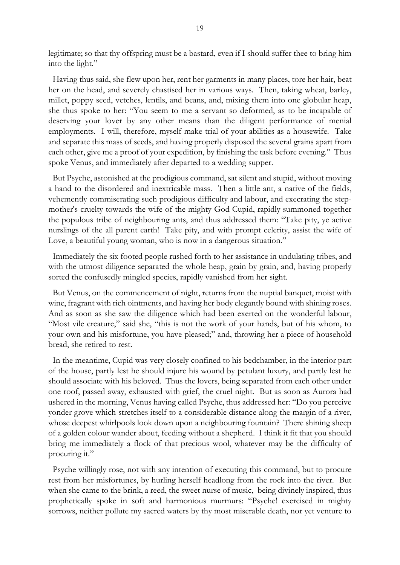legitimate; so that thy offspring must be a bastard, even if I should suffer thee to bring him into the light."

 Having thus said, she flew upon her, rent her garments in many places, tore her hair, beat her on the head, and severely chastised her in various ways. Then, taking wheat, barley, millet, poppy seed, vetches, lentils, and beans, and, mixing them into one globular heap, she thus spoke to her: "You seem to me a servant so deformed, as to be incapable of deserving your lover by any other means than the diligent performance of menial employments. I will, therefore, myself make trial of your abilities as a housewife. Take and separate this mass of seeds, and having properly disposed the several grains apart from each other, give me a proof of your expedition, by finishing the task before evening." Thus spoke Venus, and immediately after departed to a wedding supper.

 But Psyche, astonished at the prodigious command, sat silent and stupid, without moving a hand to the disordered and inextricable mass. Then a little ant, a native of the fields, vehemently commiserating such prodigious difficulty and labour, and execrating the stepmother's cruelty towards the wife of the mighty God Cupid, rapidly summoned together the populous tribe of neighbouring ants, and thus addressed them: "Take pity, ye active nurslings of the all parent earth! Take pity, and with prompt celerity, assist the wife of Love, a beautiful young woman, who is now in a dangerous situation."

 Immediately the six footed people rushed forth to her assistance in undulating tribes, and with the utmost diligence separated the whole heap, grain by grain, and, having properly sorted the confusedly mingled species, rapidly vanished from her sight.

 But Venus, on the commencement of night, returns from the nuptial banquet, moist with wine, fragrant with rich ointments, and having her body elegantly bound with shining roses. And as soon as she saw the diligence which had been exerted on the wonderful labour, "Most vile creature," said she, "this is not the work of your hands, but of his whom, to your own and his misfortune, you have pleased;" and, throwing her a piece of household bread, she retired to rest.

 In the meantime, Cupid was very closely confined to his bedchamber, in the interior part of the house, partly lest he should injure his wound by petulant luxury, and partly lest he should associate with his beloved. Thus the lovers, being separated from each other under one roof, passed away, exhausted with grief, the cruel night. But as soon as Aurora had ushered in the morning, Venus having called Psyche, thus addressed her: "Do you perceive yonder grove which stretches itself to a considerable distance along the margin of a river, whose deepest whirlpools look down upon a neighbouring fountain? There shining sheep of a golden colour wander about, feeding without a shepherd. I think it fit that you should bring me immediately a flock of that precious wool, whatever may be the difficulty of procuring it."

 Psyche willingly rose, not with any intention of executing this command, but to procure rest from her misfortunes, by hurling herself headlong from the rock into the river. But when she came to the brink, a reed, the sweet nurse of music, being divinely inspired, thus prophetically spoke in soft and harmonious murmurs: "Psyche! exercised in mighty sorrows, neither pollute my sacred waters by thy most miserable death, nor yet venture to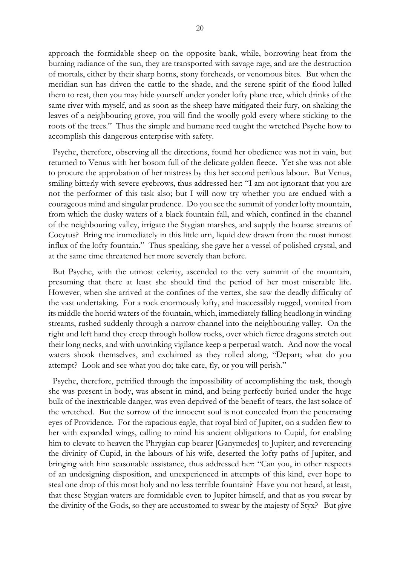approach the formidable sheep on the opposite bank, while, borrowing heat from the burning radiance of the sun, they are transported with savage rage, and are the destruction of mortals, either by their sharp horns, stony foreheads, or venomous bites. But when the meridian sun has driven the cattle to the shade, and the serene spirit of the flood lulled them to rest, then you may hide yourself under yonder lofty plane tree, which drinks of the same river with myself, and as soon as the sheep have mitigated their fury, on shaking the leaves of a neighbouring grove, you will find the woolly gold every where sticking to the roots of the trees." Thus the simple and humane reed taught the wretched Psyche how to accomplish this dangerous enterprise with safety.

 Psyche, therefore, observing all the directions, found her obedience was not in vain, but returned to Venus with her bosom full of the delicate golden fleece. Yet she was not able to procure the approbation of her mistress by this her second perilous labour. But Venus, smiling bitterly with severe eyebrows, thus addressed her: "I am not ignorant that you are not the performer of this task also; but I will now try whether you are endued with a courageous mind and singular prudence. Do you see the summit of yonder lofty mountain, from which the dusky waters of a black fountain fall, and which, confined in the channel of the neighbouring valley, irrigate the Stygian marshes, and supply the hoarse streams of Cocytus? Bring me immediately in this little urn, liquid dew drawn from the most inmost influx of the lofty fountain." Thus speaking, she gave her a vessel of polished crystal, and at the same time threatened her more severely than before.

 But Psyche, with the utmost celerity, ascended to the very summit of the mountain, presuming that there at least she should find the period of her most miserable life. However, when she arrived at the confines of the vertex, she saw the deadly difficulty of the vast undertaking. For a rock enormously lofty, and inaccessibly rugged, vomited from its middle the horrid waters of the fountain, which, immediately falling headlong in winding streams, rushed suddenly through a narrow channel into the neighbouring valley. On the right and left hand they creep through hollow rocks, over which fierce dragons stretch out their long necks, and with unwinking vigilance keep a perpetual watch. And now the vocal waters shook themselves, and exclaimed as they rolled along, "Depart; what do you attempt? Look and see what you do; take care, fly, or you will perish."

 Psyche, therefore, petrified through the impossibility of accomplishing the task, though she was present in body, was absent in mind, and being perfectly buried under the huge bulk of the inextricable danger, was even deprived of the benefit of tears, the last solace of the wretched. But the sorrow of the innocent soul is not concealed from the penetrating eyes of Providence. For the rapacious eagle, that royal bird of Jupiter, on a sudden flew to her with expanded wings, calling to mind his ancient obligations to Cupid, for enabling him to elevate to heaven the Phrygian cup bearer [Ganymedes] to Jupiter; and reverencing the divinity of Cupid, in the labours of his wife, deserted the lofty paths of Jupiter, and bringing with him seasonable assistance, thus addressed her: "Can you, in other respects of an undesigning disposition, and unexperienced in attempts of this kind, ever hope to steal one drop of this most holy and no less terrible fountain? Have you not heard, at least, that these Stygian waters are formidable even to Jupiter himself, and that as you swear by the divinity of the Gods, so they are accustomed to swear by the majesty of Styx? But give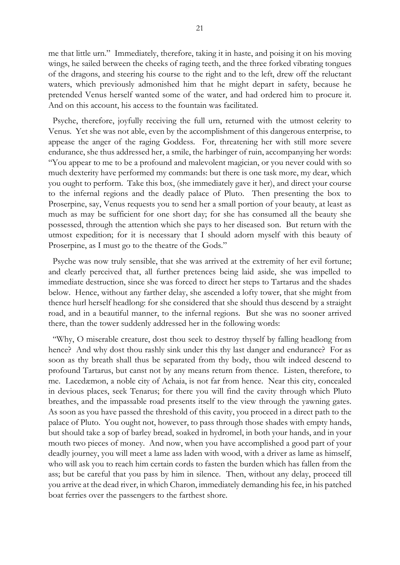me that little urn." Immediately, therefore, taking it in haste, and poising it on his moving wings, he sailed between the cheeks of raging teeth, and the three forked vibrating tongues of the dragons, and steering his course to the right and to the left, drew off the reluctant waters, which previously admonished him that he might depart in safety, because he pretended Venus herself wanted some of the water, and had ordered him to procure it. And on this account, his access to the fountain was facilitated.

 Psyche, therefore, joyfully receiving the full urn, returned with the utmost celerity to Venus. Yet she was not able, even by the accomplishment of this dangerous enterprise, to appease the anger of the raging Goddess. For, threatening her with still more severe endurance, she thus addressed her, a smile, the harbinger of ruin, accompanying her words: "You appear to me to be a profound and malevolent magician, or you never could with so much dexterity have performed my commands: but there is one task more, my dear, which you ought to perform. Take this box, (she immediately gave it her), and direct your course to the infernal regions and the deadly palace of Pluto. Then presenting the box to Proserpine, say, Venus requests you to send her a small portion of your beauty, at least as much as may be sufficient for one short day; for she has consumed all the beauty she possessed, through the attention which she pays to her diseased son. But return with the utmost expedition; for it is necessary that I should adorn myself with this beauty of Proserpine, as I must go to the theatre of the Gods."

 Psyche was now truly sensible, that she was arrived at the extremity of her evil fortune; and clearly perceived that, all further pretences being laid aside, she was impelled to immediate destruction, since she was forced to direct her steps to Tartarus and the shades below. Hence, without any farther delay, she ascended a lofty tower, that she might from thence hurl herself headlong: for she considered that she should thus descend by a straight road, and in a beautiful manner, to the infernal regions. But she was no sooner arrived there, than the tower suddenly addressed her in the following words:

 "Why, O miserable creature, dost thou seek to destroy thyself by falling headlong from hence? And why dost thou rashly sink under this thy last danger and endurance? For as soon as thy breath shall thus be separated from thy body, thou wilt indeed descend to profound Tartarus, but canst not by any means return from thence. Listen, therefore, to me. Lacedæmon, a noble city of Achaia, is not far from hence. Near this city, concealed in devious places, seek Tenarus; for there you will find the cavity through which Pluto breathes, and the impassable road presents itself to the view through the yawning gates. As soon as you have passed the threshold of this cavity, you proceed in a direct path to the palace of Pluto. You ought not, however, to pass through those shades with empty hands, but should take a sop of barley bread, soaked in hydromel, in both your hands, and in your mouth two pieces of money. And now, when you have accomplished a good part of your deadly journey, you will meet a lame ass laden with wood, with a driver as lame as himself, who will ask you to reach him certain cords to fasten the burden which has fallen from the ass; but be careful that you pass by him in silence. Then, without any delay, proceed till you arrive at the dead river, in which Charon, immediately demanding his fee, in his patched boat ferries over the passengers to the farthest shore.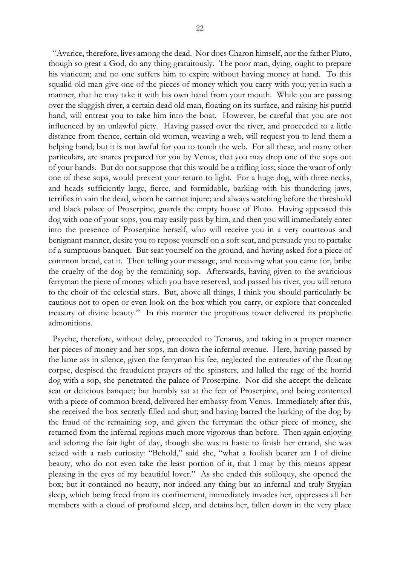"Avarice, therefore, lives among the dead. Nor does Charon himself, nor the father Pluto, though so great a God, do any thing gratuitously. The poor man, dying, ought to prepare his viaticum; and no one suffers him to expire without having money at hand. To this squalid old man give one of the pieces of money which you carry with you; yet in such a manner, that he may take it with his own hand from your mouth. While you are passing over the sluggish river, a certain dead old man, floating on its surface, and raising his putrid hand, will entreat you to take him into the boat. However, be careful that you are not influenced by an unlawful piety. Having passed over the river, and proceeded to a little distance from thence, certain old women, weaving a web, will request you to lend them a helping hand; but it is not lawful for you to touch the web. For all these, and many other particulars, are snares prepared for you by Venus, that you may drop one of the sops out of your hands. But do not suppose that this would be a trifling loss; since the want of only one of these sops, would prevent your return to light. For a huge dog, with three necks, and heads sufficiently large, fierce, and formidable, barking with his thundering jaws, terrifies in vain the dead, whom he cannot injure; and always watching before the threshold and black palace of Proserpine, guards the empty house of Pluto. Having appeased this dog with one of your sops, you may easily pass by him, and then you will immediately enter into the presence of Proserpine herself, who will receive you in a very courteous and benignant manner, desire you to repose yourself on a soft seat, and persuade you to partake of a sumptuous banquet. But seat yourself on the ground, and having asked for a piece of common bread, eat it. Then telling your message, and receiving what you came for, bribe the cruelty of the dog by the remaining sop. Afterwards, having given to the avaricious ferryman the piece of money which you have reserved, and passed his river, you will return to the choir of the celestial stars. But, above all things, I think you should particularly be cautious not to open or even look on the box which you carry, or explore that concealed treasury of divine beauty." In this manner the propitious tower delivered its prophetic admonitions.

 Psyche, therefore, without delay, proceeded to Tenarus, and taking in a proper manner her pieces of money and her sops, ran down the infernal avenue. Here, having passed by the lame ass in silence, given the ferryman his fee, neglected the entreaties of the floating corpse, despised the fraudulent prayers of the spinsters, and lulled the rage of the horrid dog with a sop, she penetrated the palace of Proserpine. Nor did she accept the delicate seat or delicious banquet; but humbly sat at the feet of Proserpine, and being contented with a piece of common bread, delivered her embassy from Venus. Immediately after this, she received the box secretly filled and shut; and having barred the barking of the dog by the fraud of the remaining sop, and given the ferryman the other piece of money, she returned from the infernal regions much more vigorous than before. Then again enjoying and adoring the fair light of day, though she was in haste to finish her errand, she was seized with a rash curiosity: "Behold," said she, "what a foolish bearer am I of divine beauty, who do not even take the least portion of it, that I may by this means appear pleasing in the eyes of my beautiful lover." As she ended this soliloquy, she opened the box; but it contained no beauty, nor indeed any thing but an infernal and truly Stygian sleep, which being freed from its confinement, immediately invades her, oppresses all her members with a cloud of profound sleep, and detains her, fallen down in the very place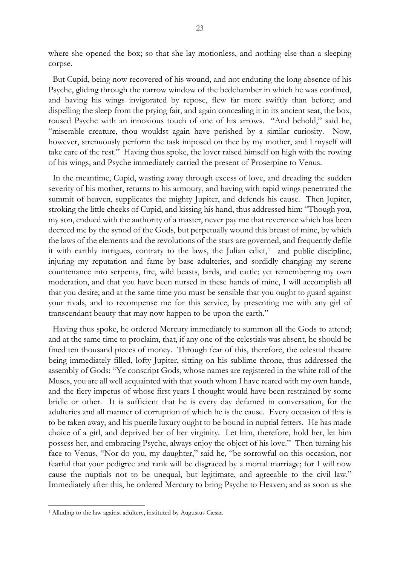where she opened the box; so that she lay motionless, and nothing else than a sleeping corpse.

 But Cupid, being now recovered of his wound, and not enduring the long absence of his Psyche, gliding through the narrow window of the bedchamber in which he was confined, and having his wings invigorated by repose, flew far more swiftly than before; and dispelling the sleep from the prying fair, and again concealing it in its ancient seat, the box, roused Psyche with an innoxious touch of one of his arrows. "And behold," said he, "miserable creature, thou wouldst again have perished by a similar curiosity. Now, however, strenuously perform the task imposed on thee by my mother, and I myself will take care of the rest." Having thus spoke, the lover raised himself on high with the rowing of his wings, and Psyche immediately carried the present of Proserpine to Venus.

 In the meantime, Cupid, wasting away through excess of love, and dreading the sudden severity of his mother, returns to his armoury, and having with rapid wings penetrated the summit of heaven, supplicates the mighty Jupiter, and defends his cause. Then Jupiter, stroking the little cheeks of Cupid, and kissing his hand, thus addressed him: "Though you, my son, endued with the authority of a master, never pay me that reverence which has been decreed me by the synod of the Gods, but perpetually wound this breast of mine, by which the laws of the elements and the revolutions of the stars are governed, and frequently defile it with earthly intrigues, contrary to the laws, the Julian edict, $<sup>1</sup>$  and public discipline,</sup> injuring my reputation and fame by base adulteries, and sordidly changing my serene countenance into serpents, fire, wild beasts, birds, and cattle; yet remembering my own moderation, and that you have been nursed in these hands of mine, I will accomplish all that you desire; and at the same time you must be sensible that you ought to guard against your rivals, and to recompense me for this service, by presenting me with any girl of transcendant beauty that may now happen to be upon the earth."

 Having thus spoke, he ordered Mercury immediately to summon all the Gods to attend; and at the same time to proclaim, that, if any one of the celestials was absent, he should be fined ten thousand pieces of money. Through fear of this, therefore, the celestial theatre being immediately filled, lofty Jupiter, sitting on his sublime throne, thus addressed the assembly of Gods: "Ye conscript Gods, whose names are registered in the white roll of the Muses, you are all well acquainted with that youth whom I have reared with my own hands, and the fiery impetus of whose first years I thought would have been restrained by some bridle or other. It is sufficient that he is every day defamed in conversation, for the adulteries and all manner of corruption of which he is the cause. Every occasion of this is to be taken away, and his puerile luxury ought to be bound in nuptial fetters. He has made choice of a girl, and deprived her of her virginity. Let him, therefore, hold her, let him possess her, and embracing Psyche, always enjoy the object of his love." Then turning his face to Venus, "Nor do you, my daughter," said he, "be sorrowful on this occasion, nor fearful that your pedigree and rank will be disgraced by a mortal marriage; for I will now cause the nuptials not to be unequal, but legitimate, and agreeable to the civil law." Immediately after this, he ordered Mercury to bring Psyche to Heaven; and as soon as she

<span id="page-22-0"></span> <sup>1</sup> Alluding to the law against adultery, instituted by Augustus Cæsar.